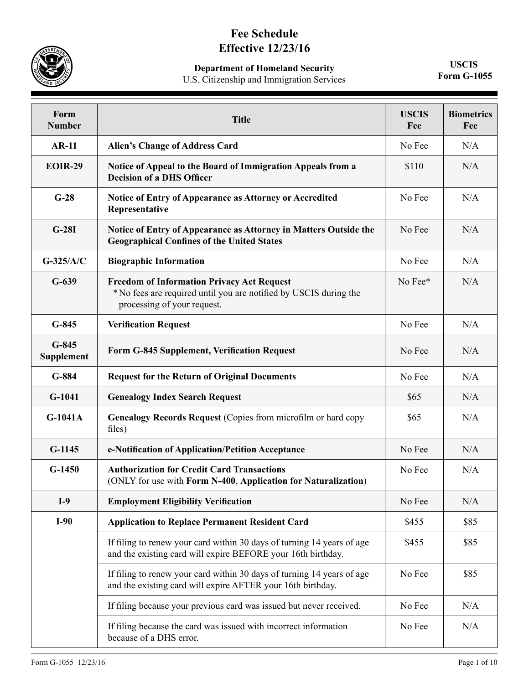## **Fee Schedule Effective 12/23/16**

**Department of Homeland Security**

U.S. Citizenship and Immigration Services

**USCIS Form G-1055**

| Form<br><b>Number</b>        | <b>Title</b>                                                                                                                                          | <b>USCIS</b><br>Fee | <b>Biometrics</b><br>Fee |
|------------------------------|-------------------------------------------------------------------------------------------------------------------------------------------------------|---------------------|--------------------------|
| <b>AR-11</b>                 | <b>Alien's Change of Address Card</b>                                                                                                                 | No Fee              | N/A                      |
| <b>EOIR-29</b>               | Notice of Appeal to the Board of Immigration Appeals from a<br><b>Decision of a DHS Officer</b>                                                       | \$110               | N/A                      |
| $G-28$                       | Notice of Entry of Appearance as Attorney or Accredited<br>Representative                                                                             | No Fee              | N/A                      |
| $G-28I$                      | Notice of Entry of Appearance as Attorney in Matters Outside the<br><b>Geographical Confines of the United States</b>                                 | No Fee              | N/A                      |
| $G-325/A/C$                  | <b>Biographic Information</b>                                                                                                                         | No Fee              | N/A                      |
| $G-639$                      | <b>Freedom of Information Privacy Act Request</b><br>* No fees are required until you are notified by USCIS during the<br>processing of your request. | No Fee*             | N/A                      |
| $G-845$                      | <b>Verification Request</b>                                                                                                                           | No Fee              | N/A                      |
| $G-845$<br><b>Supplement</b> | <b>Form G-845 Supplement, Verification Request</b>                                                                                                    | No Fee              | N/A                      |
| $G-884$                      | <b>Request for the Return of Original Documents</b>                                                                                                   | No Fee              | N/A                      |
| $G-1041$                     | <b>Genealogy Index Search Request</b>                                                                                                                 | \$65                | N/A                      |
| $G-1041A$                    | Genealogy Records Request (Copies from microfilm or hard copy<br>files)                                                                               | \$65                | N/A                      |
| $G-1145$                     | e-Notification of Application/Petition Acceptance                                                                                                     | No Fee              | N/A                      |
| $G-1450$                     | <b>Authorization for Credit Card Transactions</b><br>(ONLY for use with Form N-400, Application for Naturalization)                                   | No Fee              | N/A                      |
| $I-9$                        | <b>Employment Eligibility Verification</b>                                                                                                            | No Fee              | N/A                      |
| $I-90$                       | <b>Application to Replace Permanent Resident Card</b>                                                                                                 | \$455               | \$85                     |
|                              | If filing to renew your card within 30 days of turning 14 years of age<br>and the existing card will expire BEFORE your 16th birthday.                | \$455               | \$85                     |
|                              | If filing to renew your card within 30 days of turning 14 years of age<br>and the existing card will expire AFTER your 16th birthday.                 | No Fee              | \$85                     |
|                              | If filing because your previous card was issued but never received.                                                                                   | No Fee              | N/A                      |
|                              | If filing because the card was issued with incorrect information<br>because of a DHS error.                                                           | No Fee              | N/A                      |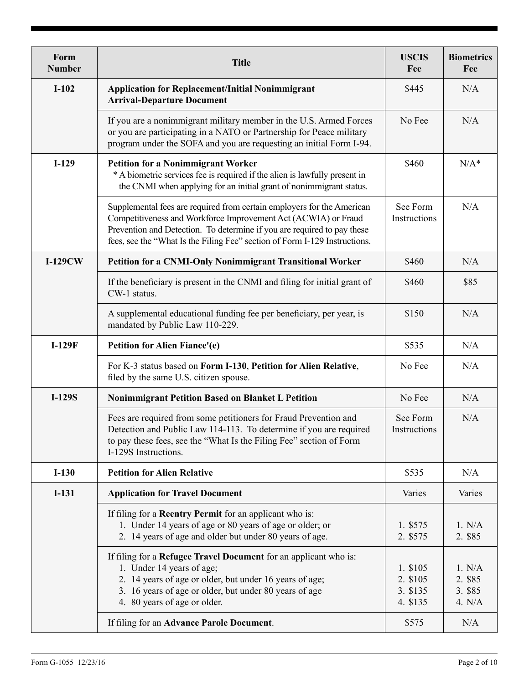| Form<br><b>Number</b> | <b>Title</b>                                                                                                                                                                                                                                                                                      | <b>USCIS</b><br>Fee                          | <b>Biometrics</b><br>Fee               |
|-----------------------|---------------------------------------------------------------------------------------------------------------------------------------------------------------------------------------------------------------------------------------------------------------------------------------------------|----------------------------------------------|----------------------------------------|
| $I-102$               | <b>Application for Replacement/Initial Nonimmigrant</b><br><b>Arrival-Departure Document</b>                                                                                                                                                                                                      | \$445                                        | N/A                                    |
|                       | If you are a nonimmigrant military member in the U.S. Armed Forces<br>or you are participating in a NATO or Partnership for Peace military<br>program under the SOFA and you are requesting an initial Form I-94.                                                                                 | No Fee                                       | N/A                                    |
| $I-129$               | <b>Petition for a Nonimmigrant Worker</b><br>* A biometric services fee is required if the alien is lawfully present in<br>the CNMI when applying for an initial grant of nonimmigrant status.                                                                                                    | \$460                                        | $N/A^*$                                |
|                       | Supplemental fees are required from certain employers for the American<br>Competitiveness and Workforce Improvement Act (ACWIA) or Fraud<br>Prevention and Detection. To determine if you are required to pay these<br>fees, see the "What Is the Filing Fee" section of Form I-129 Instructions. | See Form<br>Instructions                     | N/A                                    |
| $I-129CW$             | <b>Petition for a CNMI-Only Nonimmigrant Transitional Worker</b>                                                                                                                                                                                                                                  | \$460                                        | N/A                                    |
|                       | If the beneficiary is present in the CNMI and filing for initial grant of<br>CW-1 status.                                                                                                                                                                                                         | \$460                                        | \$85                                   |
|                       | A supplemental educational funding fee per beneficiary, per year, is<br>mandated by Public Law 110-229.                                                                                                                                                                                           | \$150                                        | N/A                                    |
| $I-129F$              | Petition for Alien Fiance'(e)                                                                                                                                                                                                                                                                     | \$535                                        | N/A                                    |
|                       | For K-3 status based on Form I-130, Petition for Alien Relative,<br>filed by the same U.S. citizen spouse.                                                                                                                                                                                        | No Fee                                       | N/A                                    |
| <b>I-129S</b>         | <b>Nonimmigrant Petition Based on Blanket L Petition</b>                                                                                                                                                                                                                                          | No Fee                                       | N/A                                    |
|                       | Fees are required from some petitioners for Fraud Prevention and<br>Detection and Public Law 114-113. To determine if you are required<br>to pay these fees, see the "What Is the Filing Fee" section of Form<br>I-129S Instructions.                                                             | See Form<br>Instructions                     | N/A                                    |
| $I-130$               | <b>Petition for Alien Relative</b>                                                                                                                                                                                                                                                                | \$535                                        | N/A                                    |
| $I-131$               | <b>Application for Travel Document</b>                                                                                                                                                                                                                                                            | Varies                                       | Varies                                 |
|                       | If filing for a <b>Reentry Permit</b> for an applicant who is:<br>1. Under 14 years of age or 80 years of age or older; or<br>2. 14 years of age and older but under 80 years of age.                                                                                                             | 1. \$575<br>2. \$575                         | 1. N/A<br>2. \$85                      |
|                       | If filing for a Refugee Travel Document for an applicant who is:<br>1. Under 14 years of age;<br>2. 14 years of age or older, but under 16 years of age;<br>3. 16 years of age or older, but under 80 years of age<br>4. 80 years of age or older.                                                | 1. \$105<br>2. \$105<br>3. \$135<br>4. \$135 | 1. N/A<br>2. \$85<br>3. \$85<br>4. N/A |
|                       | If filing for an Advance Parole Document.                                                                                                                                                                                                                                                         | \$575                                        | N/A                                    |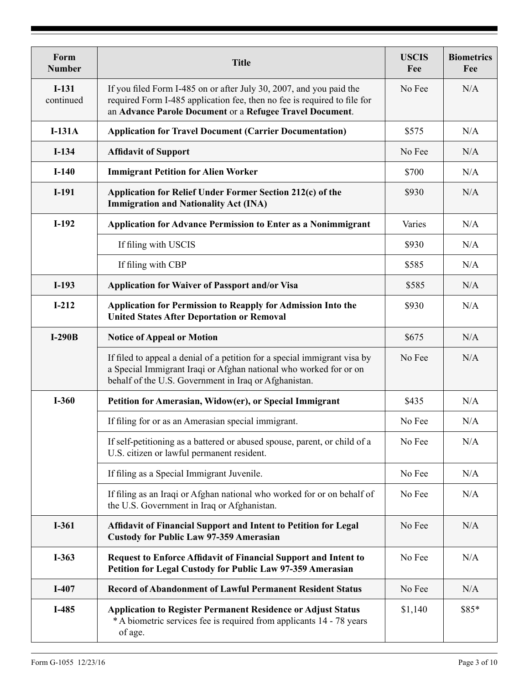| Form<br><b>Number</b> | <b>Title</b>                                                                                                                                                                                                | <b>USCIS</b><br>Fee | <b>Biometrics</b><br>Fee |
|-----------------------|-------------------------------------------------------------------------------------------------------------------------------------------------------------------------------------------------------------|---------------------|--------------------------|
| $I-131$<br>continued  | If you filed Form I-485 on or after July 30, 2007, and you paid the<br>required Form I-485 application fee, then no fee is required to file for<br>an Advance Parole Document or a Refugee Travel Document. | No Fee              | N/A                      |
| $I-131A$              | <b>Application for Travel Document (Carrier Documentation)</b>                                                                                                                                              | \$575               | N/A                      |
| $I-134$               | <b>Affidavit of Support</b>                                                                                                                                                                                 | No Fee              | N/A                      |
| $I-140$               | <b>Immigrant Petition for Alien Worker</b>                                                                                                                                                                  | \$700               | N/A                      |
| $I-191$               | Application for Relief Under Former Section 212(c) of the<br><b>Immigration and Nationality Act (INA)</b>                                                                                                   | \$930               | N/A                      |
| $I-192$               | <b>Application for Advance Permission to Enter as a Nonimmigrant</b>                                                                                                                                        | Varies              | N/A                      |
|                       | If filing with USCIS                                                                                                                                                                                        | \$930               | N/A                      |
|                       | If filing with CBP                                                                                                                                                                                          | \$585               | N/A                      |
| $I-193$               | Application for Waiver of Passport and/or Visa                                                                                                                                                              | \$585               | N/A                      |
| $I-212$               | Application for Permission to Reapply for Admission Into the<br><b>United States After Deportation or Removal</b>                                                                                           | \$930               | N/A                      |
| $I-290B$              | <b>Notice of Appeal or Motion</b>                                                                                                                                                                           | \$675               | N/A                      |
|                       | If filed to appeal a denial of a petition for a special immigrant visa by<br>a Special Immigrant Iraqi or Afghan national who worked for or on<br>behalf of the U.S. Government in Iraq or Afghanistan.     | No Fee              | N/A                      |
| $I-360$               | Petition for Amerasian, Widow(er), or Special Immigrant                                                                                                                                                     | \$435               | N/A                      |
|                       | If filing for or as an Amerasian special immigrant.                                                                                                                                                         | No Fee              | N/A                      |
|                       | If self-petitioning as a battered or abused spouse, parent, or child of a<br>U.S. citizen or lawful permanent resident.                                                                                     | No Fee              | N/A                      |
|                       | If filing as a Special Immigrant Juvenile.                                                                                                                                                                  | No Fee              | N/A                      |
|                       | If filing as an Iraqi or Afghan national who worked for or on behalf of<br>the U.S. Government in Iraq or Afghanistan.                                                                                      | No Fee              | N/A                      |
| $I-361$               | Affidavit of Financial Support and Intent to Petition for Legal<br><b>Custody for Public Law 97-359 Amerasian</b>                                                                                           | No Fee              | N/A                      |
| $I-363$               | <b>Request to Enforce Affidavit of Financial Support and Intent to</b><br>Petition for Legal Custody for Public Law 97-359 Amerasian                                                                        | No Fee              | N/A                      |
| $I-407$               | <b>Record of Abandonment of Lawful Permanent Resident Status</b>                                                                                                                                            | No Fee              | N/A                      |
| I-485                 | <b>Application to Register Permanent Residence or Adjust Status</b><br>*A biometric services fee is required from applicants 14 - 78 years<br>of age.                                                       | \$1,140             | \$85*                    |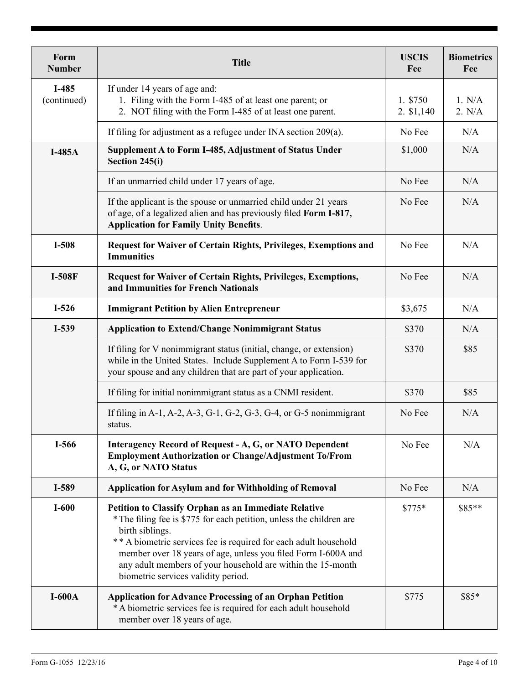| Form<br><b>Number</b> | <b>Title</b>                                                                                                                                                                                                                                                                                                                                                                                      | <b>USCIS</b><br>Fee    | <b>Biometrics</b><br>Fee |
|-----------------------|---------------------------------------------------------------------------------------------------------------------------------------------------------------------------------------------------------------------------------------------------------------------------------------------------------------------------------------------------------------------------------------------------|------------------------|--------------------------|
| I-485<br>(continued)  | If under 14 years of age and:<br>1. Filing with the Form I-485 of at least one parent; or<br>2. NOT filing with the Form I-485 of at least one parent.                                                                                                                                                                                                                                            | 1. \$750<br>2. \$1,140 | 1. N/A<br>2. N/A         |
|                       | If filing for adjustment as a refugee under INA section 209(a).                                                                                                                                                                                                                                                                                                                                   | No Fee                 | N/A                      |
| $I-485A$              | Supplement A to Form I-485, Adjustment of Status Under<br>Section 245(i)                                                                                                                                                                                                                                                                                                                          | \$1,000                | N/A                      |
|                       | If an unmarried child under 17 years of age.                                                                                                                                                                                                                                                                                                                                                      | No Fee                 | N/A                      |
|                       | If the applicant is the spouse or unmarried child under 21 years<br>of age, of a legalized alien and has previously filed Form I-817,<br><b>Application for Family Unity Benefits.</b>                                                                                                                                                                                                            | No Fee                 | N/A                      |
| I-508                 | <b>Request for Waiver of Certain Rights, Privileges, Exemptions and</b><br><b>Immunities</b>                                                                                                                                                                                                                                                                                                      | No Fee                 | N/A                      |
| <b>I-508F</b>         | <b>Request for Waiver of Certain Rights, Privileges, Exemptions,</b><br>and Immunities for French Nationals                                                                                                                                                                                                                                                                                       | No Fee                 | N/A                      |
| $I-526$               | <b>Immigrant Petition by Alien Entrepreneur</b>                                                                                                                                                                                                                                                                                                                                                   | \$3,675                | N/A                      |
| I-539                 | <b>Application to Extend/Change Nonimmigrant Status</b>                                                                                                                                                                                                                                                                                                                                           | \$370                  | N/A                      |
|                       | If filing for V nonimmigrant status (initial, change, or extension)<br>while in the United States. Include Supplement A to Form I-539 for<br>your spouse and any children that are part of your application.                                                                                                                                                                                      | \$370                  | \$85                     |
|                       | If filing for initial nonimmigrant status as a CNMI resident.                                                                                                                                                                                                                                                                                                                                     | \$370                  | \$85                     |
|                       | If filing in A-1, A-2, A-3, G-1, G-2, G-3, G-4, or G-5 nonimmigrant<br>status.                                                                                                                                                                                                                                                                                                                    | No Fee                 | N/A                      |
| I-566                 | <b>Interagency Record of Request - A, G, or NATO Dependent</b><br><b>Employment Authorization or Change/Adjustment To/From</b><br>A, G, or NATO Status                                                                                                                                                                                                                                            | No Fee                 | N/A                      |
| I-589                 | <b>Application for Asylum and for Withholding of Removal</b>                                                                                                                                                                                                                                                                                                                                      | No Fee                 | N/A                      |
| $I-600$               | <b>Petition to Classify Orphan as an Immediate Relative</b><br>* The filing fee is \$775 for each petition, unless the children are<br>birth siblings.<br>** A biometric services fee is required for each adult household<br>member over 18 years of age, unless you filed Form I-600A and<br>any adult members of your household are within the 15-month<br>biometric services validity period. | $$775*$                | \$85**                   |
| $I-600A$              | <b>Application for Advance Processing of an Orphan Petition</b><br>* A biometric services fee is required for each adult household<br>member over 18 years of age.                                                                                                                                                                                                                                | \$775                  | \$85*                    |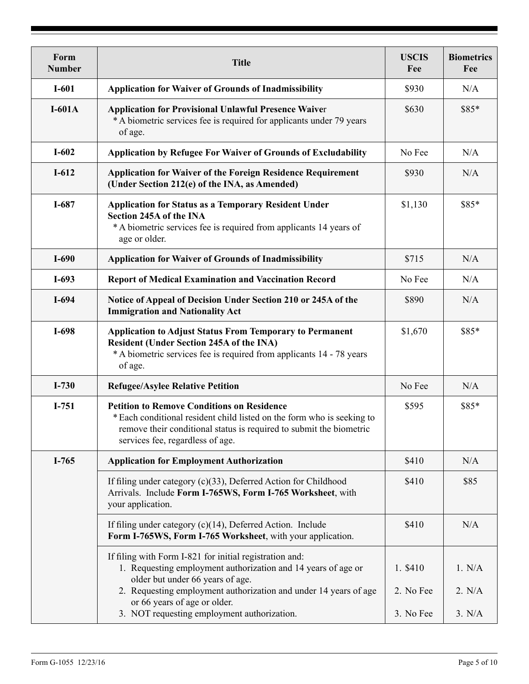| Form<br><b>Number</b> | <b>Title</b>                                                                                                                                                                                                                           | <b>USCIS</b><br>Fee   | <b>Biometrics</b><br>Fee |
|-----------------------|----------------------------------------------------------------------------------------------------------------------------------------------------------------------------------------------------------------------------------------|-----------------------|--------------------------|
| $I-601$               | <b>Application for Waiver of Grounds of Inadmissibility</b>                                                                                                                                                                            | \$930                 | N/A                      |
| $I-601A$              | <b>Application for Provisional Unlawful Presence Waiver</b><br>*A biometric services fee is required for applicants under 79 years<br>of age.                                                                                          | \$630                 | \$85*                    |
| $I-602$               | <b>Application by Refugee For Waiver of Grounds of Excludability</b>                                                                                                                                                                   | No Fee                | N/A                      |
| $I-612$               | <b>Application for Waiver of the Foreign Residence Requirement</b><br>(Under Section 212(e) of the INA, as Amended)                                                                                                                    | \$930                 | N/A                      |
| $I-687$               | <b>Application for Status as a Temporary Resident Under</b><br>Section 245A of the INA<br>*A biometric services fee is required from applicants 14 years of<br>age or older.                                                           | \$1,130               | \$85*                    |
| $I-690$               | <b>Application for Waiver of Grounds of Inadmissibility</b>                                                                                                                                                                            | \$715                 | N/A                      |
| $I-693$               | <b>Report of Medical Examination and Vaccination Record</b>                                                                                                                                                                            | No Fee                | N/A                      |
| $I-694$               | Notice of Appeal of Decision Under Section 210 or 245A of the<br><b>Immigration and Nationality Act</b>                                                                                                                                | \$890                 | N/A                      |
| $I-698$               | <b>Application to Adjust Status From Temporary to Permanent</b><br><b>Resident (Under Section 245A of the INA)</b><br>*A biometric services fee is required from applicants 14 - 78 years<br>of age.                                   | \$1,670               | \$85*                    |
| $I-730$               | <b>Refugee/Asylee Relative Petition</b>                                                                                                                                                                                                | No Fee                | N/A                      |
| $I-751$               | <b>Petition to Remove Conditions on Residence</b><br>* Each conditional resident child listed on the form who is seeking to<br>remove their conditional status is required to submit the biometric<br>services fee, regardless of age. | \$595                 | \$85*                    |
| $I-765$               | <b>Application for Employment Authorization</b>                                                                                                                                                                                        | \$410                 | N/A                      |
|                       | If filing under category (c)(33), Deferred Action for Childhood<br>Arrivals. Include Form I-765WS, Form I-765 Worksheet, with<br>your application.                                                                                     | \$410                 | \$85                     |
|                       | If filing under category $(c)(14)$ , Deferred Action. Include<br>Form I-765WS, Form I-765 Worksheet, with your application.                                                                                                            | \$410                 | N/A                      |
|                       | If filing with Form I-821 for initial registration and:<br>1. Requesting employment authorization and 14 years of age or<br>older but under 66 years of age.<br>2. Requesting employment authorization and under 14 years of age       | 1. \$410<br>2. No Fee | 1. N/A<br>2. N/A         |
|                       | or 66 years of age or older.<br>3. NOT requesting employment authorization.                                                                                                                                                            | 3. No Fee             | 3. N/A                   |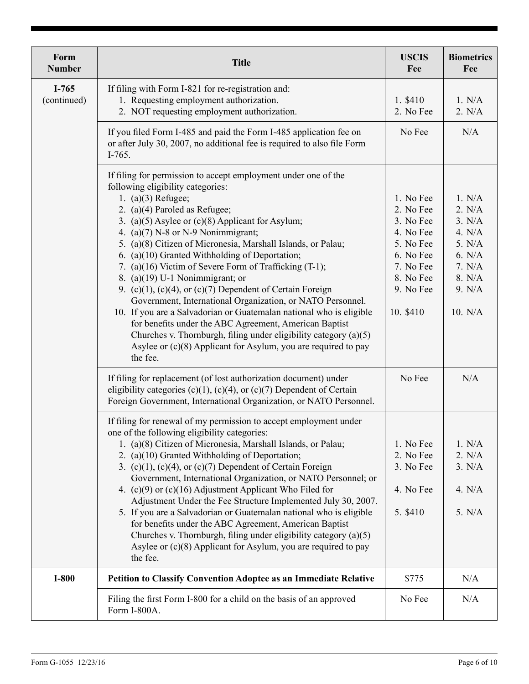| Form<br><b>Number</b>  | <b>Title</b>                                                                                                                                                                                                                                                                                                                                                                                                                                                                                                                                                                                                                                                                                                                                                                                                                                                                                                                                                        | <b>USCIS</b><br>Fee                                                                                                                      | <b>Biometrics</b><br>Fee                                                                                   |
|------------------------|---------------------------------------------------------------------------------------------------------------------------------------------------------------------------------------------------------------------------------------------------------------------------------------------------------------------------------------------------------------------------------------------------------------------------------------------------------------------------------------------------------------------------------------------------------------------------------------------------------------------------------------------------------------------------------------------------------------------------------------------------------------------------------------------------------------------------------------------------------------------------------------------------------------------------------------------------------------------|------------------------------------------------------------------------------------------------------------------------------------------|------------------------------------------------------------------------------------------------------------|
| $I-765$<br>(continued) | If filing with Form I-821 for re-registration and:<br>1. Requesting employment authorization.<br>2. NOT requesting employment authorization.                                                                                                                                                                                                                                                                                                                                                                                                                                                                                                                                                                                                                                                                                                                                                                                                                        | 1. \$410<br>2. No Fee                                                                                                                    | 1. N/A<br>2. N/A                                                                                           |
|                        | If you filed Form I-485 and paid the Form I-485 application fee on<br>or after July 30, 2007, no additional fee is required to also file Form<br>$I-765.$                                                                                                                                                                                                                                                                                                                                                                                                                                                                                                                                                                                                                                                                                                                                                                                                           | No Fee                                                                                                                                   | N/A                                                                                                        |
|                        | If filing for permission to accept employment under one of the<br>following eligibility categories:<br>1. (a) $(3)$ Refugee;<br>2. (a)(4) Paroled as Refugee;<br>3. (a) $(5)$ Asylee or $(c)(8)$ Applicant for Asylum;<br>4. (a) $(7)$ N-8 or N-9 Nonimmigrant;<br>5. (a)(8) Citizen of Micronesia, Marshall Islands, or Palau;<br>6. (a)(10) Granted Withholding of Deportation;<br>7. (a)(16) Victim of Severe Form of Trafficking (T-1);<br>8. (a) $(19)$ U-1 Nonimmigrant; or<br>9. (c)(1), (c)(4), or (c)(7) Dependent of Certain Foreign<br>Government, International Organization, or NATO Personnel.<br>10. If you are a Salvadorian or Guatemalan national who is eligible<br>for benefits under the ABC Agreement, American Baptist<br>Churches v. Thornburgh, filing under eligibility category (a)(5)<br>Asylee or (c)(8) Applicant for Asylum, you are required to pay<br>the fee.<br>If filing for replacement (of lost authorization document) under | 1. No Fee<br>2. No Fee<br>3. No Fee<br>4. No Fee<br>5. No Fee<br>6. No Fee<br>7. No Fee<br>8. No Fee<br>9. No Fee<br>10. \$410<br>No Fee | 1. N/A<br>2. N/A<br>3. N/A<br>4. $N/A$<br>5. N/A<br>6. N/A<br>7. N/A<br>8. N/A<br>9. N/A<br>10. N/A<br>N/A |
|                        | eligibility categories (c)(1), (c)(4), or (c)(7) Dependent of Certain<br>Foreign Government, International Organization, or NATO Personnel.<br>If filing for renewal of my permission to accept employment under                                                                                                                                                                                                                                                                                                                                                                                                                                                                                                                                                                                                                                                                                                                                                    |                                                                                                                                          |                                                                                                            |
|                        | one of the following eligibility categories:<br>1. (a)(8) Citizen of Micronesia, Marshall Islands, or Palau;<br>2. (a)(10) Granted Withholding of Deportation;<br>3. (c)(1), (c)(4), or (c)(7) Dependent of Certain Foreign<br>Government, International Organization, or NATO Personnel; or<br>4. $(c)(9)$ or $(c)(16)$ Adjustment Applicant Who Filed for<br>Adjustment Under the Fee Structure Implemented July 30, 2007.<br>5. If you are a Salvadorian or Guatemalan national who is eligible                                                                                                                                                                                                                                                                                                                                                                                                                                                                  | 1. No Fee<br>2. No Fee<br>3. No Fee<br>4. No Fee<br>5. \$410                                                                             | 1. N/A<br>2. N/A<br>3. N/A<br>4. $N/A$<br>5. N/A                                                           |
|                        | for benefits under the ABC Agreement, American Baptist<br>Churches v. Thornburgh, filing under eligibility category $(a)(5)$<br>Asylee or $(c)(8)$ Applicant for Asylum, you are required to pay<br>the fee.                                                                                                                                                                                                                                                                                                                                                                                                                                                                                                                                                                                                                                                                                                                                                        |                                                                                                                                          |                                                                                                            |
| $I-800$                | Petition to Classify Convention Adoptee as an Immediate Relative                                                                                                                                                                                                                                                                                                                                                                                                                                                                                                                                                                                                                                                                                                                                                                                                                                                                                                    | \$775                                                                                                                                    | N/A                                                                                                        |
|                        | Filing the first Form I-800 for a child on the basis of an approved<br>Form I-800A.                                                                                                                                                                                                                                                                                                                                                                                                                                                                                                                                                                                                                                                                                                                                                                                                                                                                                 | No Fee                                                                                                                                   | N/A                                                                                                        |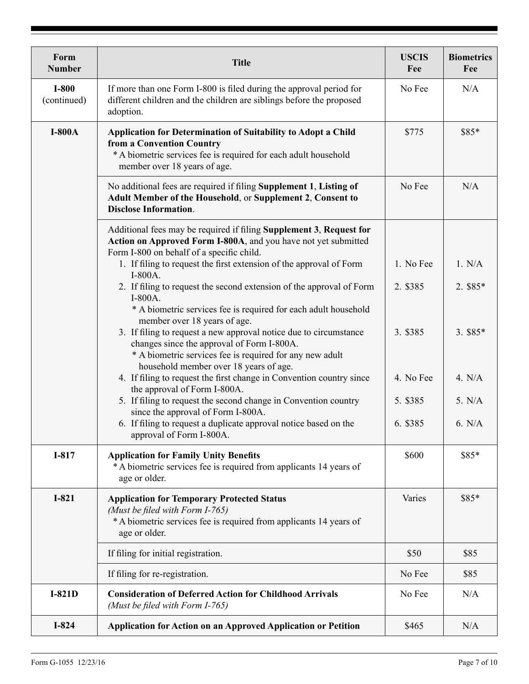| Form<br><b>Number</b>  | <b>Title</b>                                                                                                                                                                                                                                                                   | <b>USCIS</b><br>Fee   | <b>Biometrics</b><br>Fee |
|------------------------|--------------------------------------------------------------------------------------------------------------------------------------------------------------------------------------------------------------------------------------------------------------------------------|-----------------------|--------------------------|
| $I-800$<br>(continued) | If more than one Form I-800 is filed during the approval period for<br>different children and the children are siblings before the proposed<br>adoption.                                                                                                                       | No Fee                | N/A                      |
| $I-800A$               | <b>Application for Determination of Suitability to Adopt a Child</b><br>from a Convention Country<br>* A biometric services fee is required for each adult household<br>member over 18 years of age.                                                                           | \$775                 | \$85*                    |
|                        | No additional fees are required if filing Supplement 1, Listing of<br>Adult Member of the Household, or Supplement 2, Consent to<br><b>Disclose Information.</b>                                                                                                               | No Fee                | N/A                      |
|                        | Additional fees may be required if filing Supplement 3, Request for<br>Action on Approved Form I-800A, and you have not yet submitted<br>Form I-800 on behalf of a specific child.                                                                                             |                       |                          |
|                        | 1. If filing to request the first extension of the approval of Form<br>$I-800A$ .<br>2. If filing to request the second extension of the approval of Form<br>$I-800A$ .                                                                                                        | 1. No Fee<br>2. \$385 | 1. N/A<br>2. \$85*       |
|                        | * A biometric services fee is required for each adult household<br>member over 18 years of age.<br>3. If filing to request a new approval notice due to circumstance<br>changes since the approval of Form I-800A.<br>* A biometric services fee is required for any new adult | 3. \$385              | $3.$ \$85*               |
|                        | household member over 18 years of age.<br>4. If filing to request the first change in Convention country since<br>the approval of Form I-800A.                                                                                                                                 | 4. No Fee             | 4. N/A                   |
|                        | 5. If filing to request the second change in Convention country<br>since the approval of Form I-800A.<br>6. If filing to request a duplicate approval notice based on the<br>approval of Form I-800A.                                                                          | 5. \$385<br>6. \$385  | 5. N/A<br>6. N/A         |
| I-817                  | <b>Application for Family Unity Benefits</b><br>*A biometric services fee is required from applicants 14 years of<br>age or older.                                                                                                                                             | \$600                 | \$85*                    |
| $I-821$                | <b>Application for Temporary Protected Status</b><br>(Must be filed with Form I-765)<br>*A biometric services fee is required from applicants 14 years of<br>age or older.                                                                                                     | Varies                | \$85*                    |
|                        | If filing for initial registration.                                                                                                                                                                                                                                            | \$50                  | \$85                     |
|                        | If filing for re-registration.                                                                                                                                                                                                                                                 | No Fee                | \$85                     |
| $I-821D$               | <b>Consideration of Deferred Action for Childhood Arrivals</b><br>(Must be filed with Form I-765)                                                                                                                                                                              | No Fee                | N/A                      |
| $I-824$                | <b>Application for Action on an Approved Application or Petition</b>                                                                                                                                                                                                           | \$465                 | N/A                      |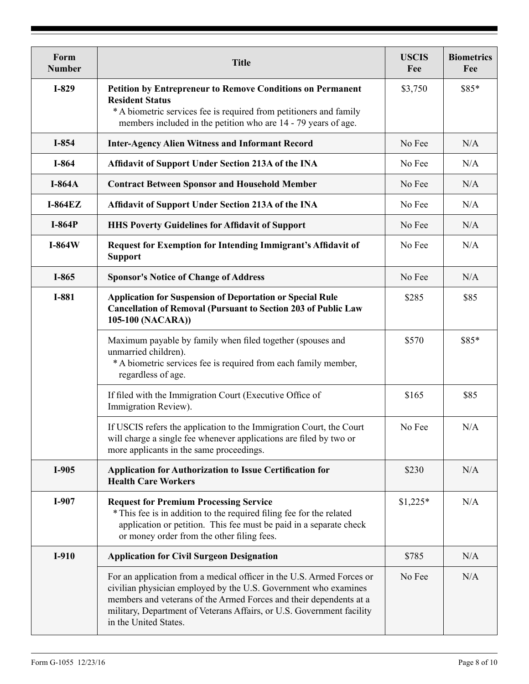| Form<br><b>Number</b> | <b>Title</b>                                                                                                                                                                                                                                                                                                     | <b>USCIS</b><br>Fee | <b>Biometrics</b><br>Fee |
|-----------------------|------------------------------------------------------------------------------------------------------------------------------------------------------------------------------------------------------------------------------------------------------------------------------------------------------------------|---------------------|--------------------------|
| $I-829$               | <b>Petition by Entrepreneur to Remove Conditions on Permanent</b><br><b>Resident Status</b><br>* A biometric services fee is required from petitioners and family<br>members included in the petition who are 14 - 79 years of age.                                                                              | \$3,750             | \$85*                    |
| I-854                 | <b>Inter-Agency Alien Witness and Informant Record</b>                                                                                                                                                                                                                                                           | No Fee              | N/A                      |
| I-864                 | Affidavit of Support Under Section 213A of the INA                                                                                                                                                                                                                                                               | No Fee              | N/A                      |
| <b>I-864A</b>         | <b>Contract Between Sponsor and Household Member</b>                                                                                                                                                                                                                                                             | No Fee              | N/A                      |
| $I-864EZ$             | Affidavit of Support Under Section 213A of the INA                                                                                                                                                                                                                                                               | No Fee              | N/A                      |
| $I-864P$              | <b>HHS Poverty Guidelines for Affidavit of Support</b>                                                                                                                                                                                                                                                           | No Fee              | N/A                      |
| $I-864W$              | <b>Request for Exemption for Intending Immigrant's Affidavit of</b><br><b>Support</b>                                                                                                                                                                                                                            | No Fee              | N/A                      |
| I-865                 | <b>Sponsor's Notice of Change of Address</b>                                                                                                                                                                                                                                                                     | No Fee              | N/A                      |
| I-881                 | <b>Application for Suspension of Deportation or Special Rule</b><br><b>Cancellation of Removal (Pursuant to Section 203 of Public Law</b><br>105-100 (NACARA))                                                                                                                                                   | \$285               | \$85                     |
|                       | Maximum payable by family when filed together (spouses and<br>unmarried children).<br>* A biometric services fee is required from each family member,<br>regardless of age.                                                                                                                                      | \$570               | \$85*                    |
|                       | If filed with the Immigration Court (Executive Office of<br>Immigration Review).                                                                                                                                                                                                                                 | \$165               | \$85                     |
|                       | If USCIS refers the application to the Immigration Court, the Court<br>will charge a single fee whenever applications are filed by two or<br>more applicants in the same proceedings.                                                                                                                            | No Fee              | N/A                      |
| I-905                 | <b>Application for Authorization to Issue Certification for</b><br><b>Health Care Workers</b>                                                                                                                                                                                                                    | \$230               | N/A                      |
| I-907                 | <b>Request for Premium Processing Service</b><br>* This fee is in addition to the required filing fee for the related<br>application or petition. This fee must be paid in a separate check<br>or money order from the other filing fees.                                                                        | $$1,225*$           | N/A                      |
| $I-910$               | <b>Application for Civil Surgeon Designation</b>                                                                                                                                                                                                                                                                 | \$785               | N/A                      |
|                       | For an application from a medical officer in the U.S. Armed Forces or<br>civilian physician employed by the U.S. Government who examines<br>members and veterans of the Armed Forces and their dependents at a<br>military, Department of Veterans Affairs, or U.S. Government facility<br>in the United States. | No Fee              | N/A                      |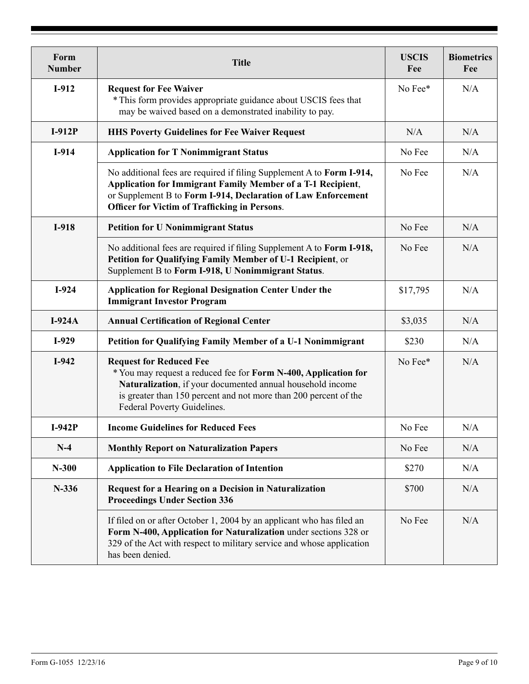| Form<br><b>Number</b> | <b>Title</b>                                                                                                                                                                                                                                                         | <b>USCIS</b><br>Fee | <b>Biometrics</b><br>Fee |
|-----------------------|----------------------------------------------------------------------------------------------------------------------------------------------------------------------------------------------------------------------------------------------------------------------|---------------------|--------------------------|
| I-912                 | <b>Request for Fee Waiver</b><br>* This form provides appropriate guidance about USCIS fees that<br>may be waived based on a demonstrated inability to pay.                                                                                                          | No Fee*             | N/A                      |
| $I-912P$              | <b>HHS Poverty Guidelines for Fee Waiver Request</b>                                                                                                                                                                                                                 | N/A                 | N/A                      |
| $I-914$               | <b>Application for T Nonimmigrant Status</b>                                                                                                                                                                                                                         | No Fee              | N/A                      |
|                       | No additional fees are required if filing Supplement A to Form I-914,<br><b>Application for Immigrant Family Member of a T-1 Recipient,</b><br>or Supplement B to Form I-914, Declaration of Law Enforcement<br><b>Officer for Victim of Trafficking in Persons.</b> | No Fee              | N/A                      |
| $I-918$               | <b>Petition for U Nonimmigrant Status</b>                                                                                                                                                                                                                            | No Fee              | N/A                      |
|                       | No additional fees are required if filing Supplement A to Form I-918,<br>Petition for Qualifying Family Member of U-1 Recipient, or<br>Supplement B to Form I-918, U Nonimmigrant Status.                                                                            | No Fee              | N/A                      |
| $I-924$               | <b>Application for Regional Designation Center Under the</b><br><b>Immigrant Investor Program</b>                                                                                                                                                                    | \$17,795            | N/A                      |
| $I-924A$              | <b>Annual Certification of Regional Center</b>                                                                                                                                                                                                                       | \$3,035             | N/A                      |
| $I-929$               | Petition for Qualifying Family Member of a U-1 Nonimmigrant                                                                                                                                                                                                          | \$230               | N/A                      |
| $I-942$               | <b>Request for Reduced Fee</b><br>* You may request a reduced fee for Form N-400, Application for<br>Naturalization, if your documented annual household income<br>is greater than 150 percent and not more than 200 percent of the<br>Federal Poverty Guidelines.   | No Fee*             | N/A                      |
| $I-942P$              | <b>Income Guidelines for Reduced Fees</b>                                                                                                                                                                                                                            | No Fee              | N/A                      |
| $N-4$                 | <b>Monthly Report on Naturalization Papers</b>                                                                                                                                                                                                                       | No Fee              | N/A                      |
| $N-300$               | <b>Application to File Declaration of Intention</b>                                                                                                                                                                                                                  | \$270               | N/A                      |
| $N-336$               | <b>Request for a Hearing on a Decision in Naturalization</b><br><b>Proceedings Under Section 336</b>                                                                                                                                                                 | \$700               | N/A                      |
|                       | If filed on or after October 1, 2004 by an applicant who has filed an<br>Form N-400, Application for Naturalization under sections 328 or<br>329 of the Act with respect to military service and whose application<br>has been denied.                               | No Fee              | N/A                      |